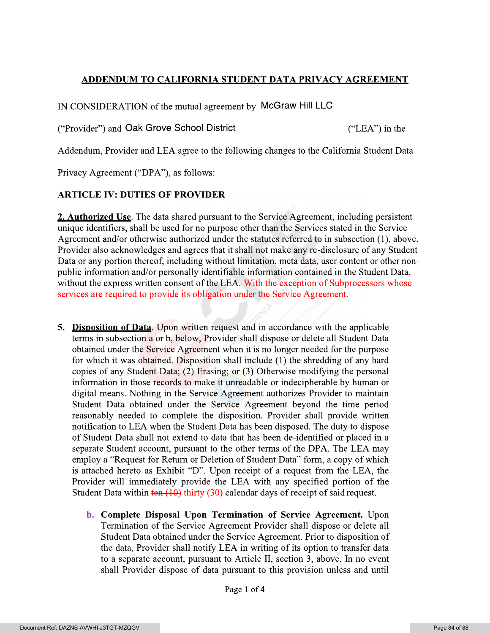## <u>ADDENDUM TO CALIFORNIA STUDENT DATA PRIVACY AGREEMENT</u>

IN CONSIDERATION of the mutual agreement by McGraw Hill LLC

("Provider") and Oak Grove School District

 $("LEA")$  in the

Addendum, Provider and LEA agree to the following changes to the California Student Data

Privacy Agreement ("DPA"), as follows:

## **ARTICLE IV: DUTIES OF PROVIDER**

2. Authorized Use. The data shared pursuant to the Service Agreement, including persistent unique identifiers, shall be used for no purpose other than the Services stated in the Service Agreement and/or otherwise authorized under the statutes referred to in subsection (1), above. Provider also acknowledges and agrees that it shall not make any re-disclosure of any Student Data or any portion thereof, including without limitation, meta data, user content or other nonpublic information and/or personally identifiable information contained in the Student Data, without the express written consent of the LEA. With the exception of Subprocessors whose services are required to provide its obligation under the Service Agreement.

- **5. Disposition of Data.** Upon written request and in accordance with the applicable terms in subsection a or b, below, Provider shall dispose or delete all Student Data obtained under the Service Agreement when it is no longer needed for the purpose for which it was obtained. Disposition shall include (1) the shredding of any hard copies of any Student Data; (2) Erasing; or (3) Otherwise modifying the personal information in those records to make it unreadable or indecipherable by human or digital means. Nothing in the Service Agreement authorizes Provider to maintain Student Data obtained under the Service Agreement beyond the time period reasonably needed to complete the disposition. Provider shall provide written notification to LEA when the Student Data has been disposed. The duty to dispose of Student Data shall not extend to data that has been de-identified or placed in a separate Student account, pursuant to the other terms of the DPA. The LEA may employ a "Request for Return or Deletion of Student Data" form, a copy of which is attached hereto as Exhibit "D". Upon receipt of a request from the LEA, the Provider will immediately provide the LEA with any specified portion of the Student Data within  $\frac{\tan(10)}{\tan(10)}$  thirty (30) calendar days of receipt of said request.
	- **b.** Complete Disposal Upon Termination of Service Agreement. Upon Termination of the Service Agreement Provider shall dispose or delete all Student Data obtained under the Service Agreement. Prior to disposition of the data, Provider shall notify LEA in writing of its option to transfer data to a separate account, pursuant to Article II, section 3, above. In no event shall Provider dispose of data pursuant to this provision unless and until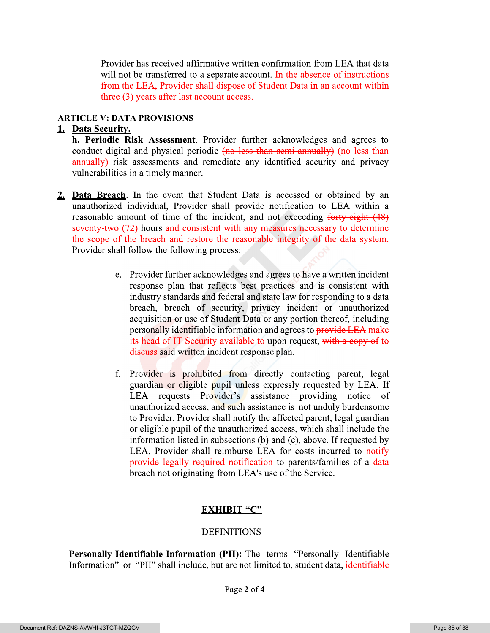Provider has received affirmative written confirmation from LEA that data will not be transferred to a separate account. In the absence of instructions from the LEA, Provider shall dispose of Student Data in an account within three (3) years after last account access.

## **ARTICLE V: DATA PROVISIONS**

## 1. Data Security.

- **h. Periodic Risk Assessment**. Provider further acknowledges and agrees to conduct digital and physical periodic (no less than semi-annually) (no less than annually) risk assessments and remediate any identified security and privacy vulnerabilities in a timely manner.
- 2. Data Breach. In the event that Student Data is accessed or obtained by an unauthorized individual, Provider shall provide notification to LEA within a reasonable amount of time of the incident, and not exceeding forty-eight (48) seventy-two (72) hours and consistent with any measures necessary to determine the scope of the breach and restore the reasonable integrity of the data system. Provider shall follow the following process:
	- e. Provider further acknowledges and agrees to have a written incident response plan that reflects best practices and is consistent with industry standards and federal and state law for responding to a data breach, breach of security, privacy incident or unauthorized acquisition or use of Student Data or any portion thereof, including personally identifiable information and agrees to provide LEA make its head of IT Security available to upon request, with a copy of to discuss said written incident response plan.
	- f. Provider is prohibited from directly contacting parent, legal guardian or eligible pupil unless expressly requested by LEA. If LEA requests Provider's assistance providing notice of unauthorized access, and such assistance is not unduly burdensome to Provider, Provider shall notify the affected parent, legal guardian or eligible pupil of the unauthorized access, which shall include the information listed in subsections (b) and (c), above. If requested by LEA, Provider shall reimburse LEA for costs incurred to notify provide legally required notification to parents/families of a data breach not originating from LEA's use of the Service.

# **EXHIBIT "C"**

# **DEFINITIONS**

Personally Identifiable Information (PII): The terms "Personally Identifiable Information" or "PII" shall include, but are not limited to, student data, identifiable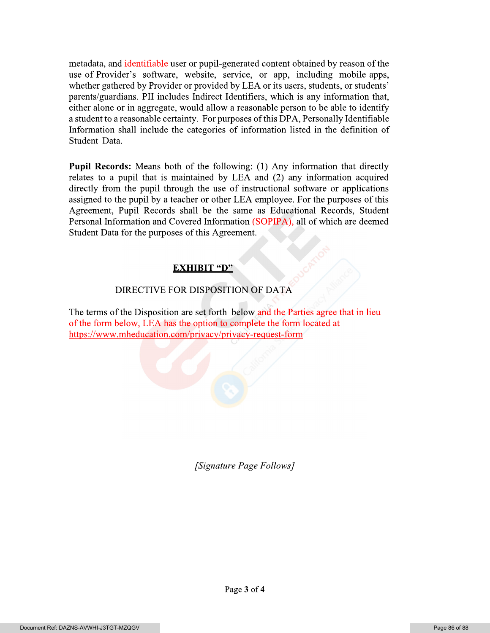metadata, and identifiable user or pupil-generated content obtained by reason of the use of Provider's software, website, service, or app, including mobile apps, whether gathered by Provider or provided by LEA or its users, students, or students' parents/guardians. PII includes Indirect Identifiers, which is any information that, either alone or in aggregate, would allow a reasonable person to be able to identify a student to a reasonable certainty. For purposes of this DPA, Personally Identifiable Information shall include the categories of information listed in the definition of Student Data.

**Pupil Records:** Means both of the following: (1) Any information that directly relates to a pupil that is maintained by LEA and (2) any information acquired directly from the pupil through the use of instructional software or applications assigned to the pupil by a teacher or other LEA employee. For the purposes of this Agreement, Pupil Records shall be the same as Educational Records, Student Personal Information and Covered Information (SOPIPA), all of which are deemed Student Data for the purposes of this Agreement.

# **EXHIBIT "D"**

# DIRECTIVE FOR DISPOSITION OF DATA

The terms of the Disposition are set forth below and the Parties agree that in lieu of the form below, LEA has the option to complete the form located at https://www.mheducation.com/privacy/privacy-request-form

[Signature Page Follows]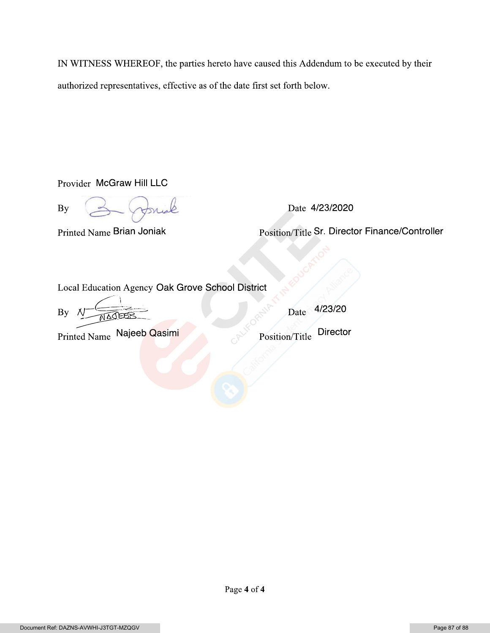IN WITNESS WHEREOF, the parties hereto have caused this Addendum to be executed by their authorized representatives, effective as of the date first set forth below.

Provider McGraw Hill LLC

**By** 

Date 4/23/2020

Printed Name Brian Joniak

Position/Title Sr. Director Finance/Controller

Local Education Agency Oak Grove School District

By

Printed Name Najeeb Qasimi

Date 4/23/20

**Director** Position/Title